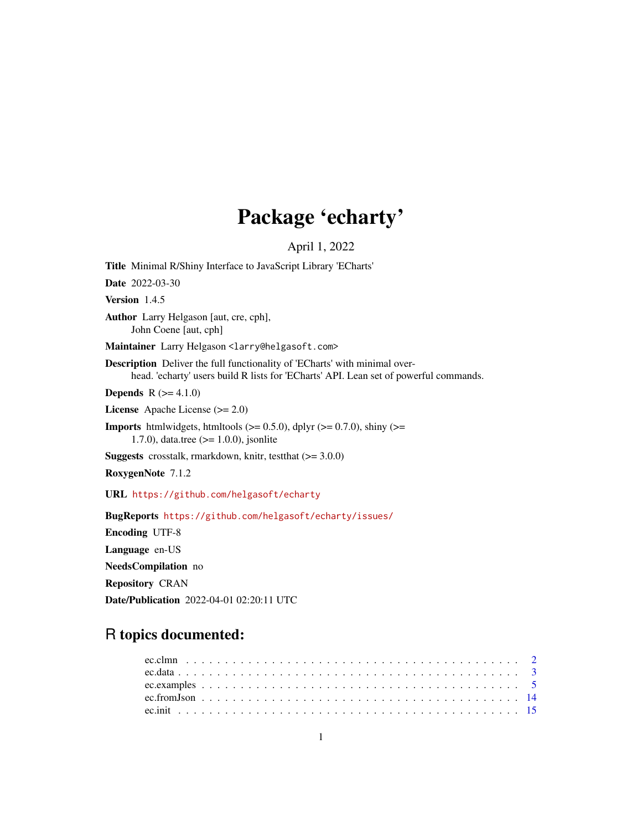# Package 'echarty'

April 1, 2022

<span id="page-0-0"></span>Title Minimal R/Shiny Interface to JavaScript Library 'ECharts' Date 2022-03-30 Version 1.4.5 Author Larry Helgason [aut, cre, cph], John Coene [aut, cph] Maintainer Larry Helgason <larry@helgasoft.com> Description Deliver the full functionality of 'ECharts' with minimal overhead. 'echarty' users build R lists for 'ECharts' API. Lean set of powerful commands. **Depends**  $R (= 4.1.0)$ License Apache License (>= 2.0) **Imports** htmlwidgets, htmltools ( $> = 0.5.0$ ), dplyr ( $> = 0.7.0$ ), shiny ( $> =$ 1.7.0), data.tree (>= 1.0.0), jsonlite **Suggests** crosstalk, rmarkdown, knitr, test that  $(>= 3.0.0)$ RoxygenNote 7.1.2 URL <https://github.com/helgasoft/echarty> BugReports <https://github.com/helgasoft/echarty/issues/> Encoding UTF-8 Language en-US NeedsCompilation no Repository CRAN

Date/Publication 2022-04-01 02:20:11 UTC

# R topics documented: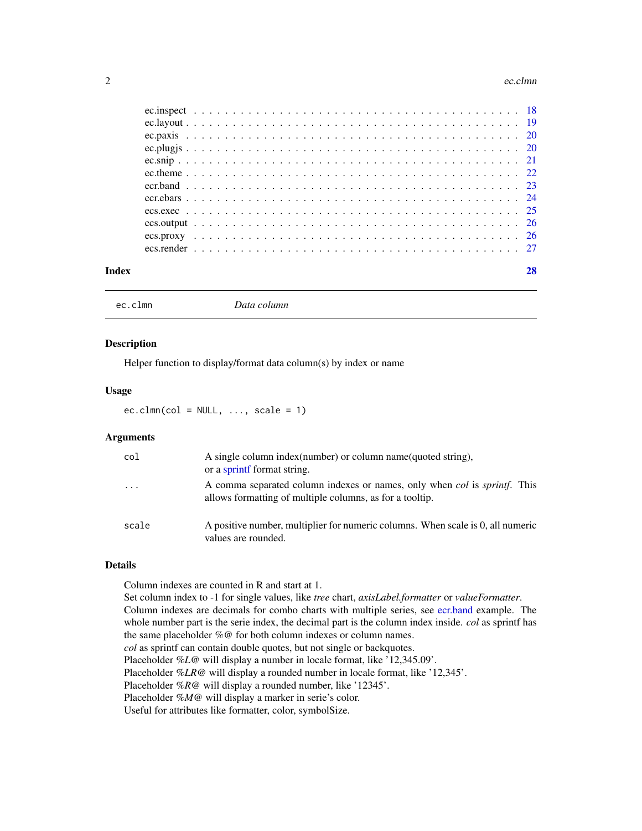#### <span id="page-1-0"></span>2 ec.clmn

| Index |  |  |  |  |  |  |  |  |  |  |  |  |  |  |  |  |  |  |  |  |  |
|-------|--|--|--|--|--|--|--|--|--|--|--|--|--|--|--|--|--|--|--|--|--|
|       |  |  |  |  |  |  |  |  |  |  |  |  |  |  |  |  |  |  |  |  |  |
|       |  |  |  |  |  |  |  |  |  |  |  |  |  |  |  |  |  |  |  |  |  |
|       |  |  |  |  |  |  |  |  |  |  |  |  |  |  |  |  |  |  |  |  |  |
|       |  |  |  |  |  |  |  |  |  |  |  |  |  |  |  |  |  |  |  |  |  |
|       |  |  |  |  |  |  |  |  |  |  |  |  |  |  |  |  |  |  |  |  |  |
|       |  |  |  |  |  |  |  |  |  |  |  |  |  |  |  |  |  |  |  |  |  |
|       |  |  |  |  |  |  |  |  |  |  |  |  |  |  |  |  |  |  |  |  |  |
|       |  |  |  |  |  |  |  |  |  |  |  |  |  |  |  |  |  |  |  |  |  |
|       |  |  |  |  |  |  |  |  |  |  |  |  |  |  |  |  |  |  |  |  |  |
|       |  |  |  |  |  |  |  |  |  |  |  |  |  |  |  |  |  |  |  |  |  |
|       |  |  |  |  |  |  |  |  |  |  |  |  |  |  |  |  |  |  |  |  |  |
|       |  |  |  |  |  |  |  |  |  |  |  |  |  |  |  |  |  |  |  |  |  |

ec.clmn *Data column*

#### Description

Helper function to display/format data column(s) by index or name

#### Usage

 $ec.dim(cd = NULL, ..., scale = 1)$ 

#### Arguments

| col     | A single column index (number) or column name (quoted string),<br>or a sprint format string.                                                         |
|---------|------------------------------------------------------------------------------------------------------------------------------------------------------|
| $\cdot$ | A comma separated column indexes or names, only when <i>col</i> is <i>sprintf</i> . This<br>allows formatting of multiple columns, as for a tooltip. |
| scale   | A positive number, multiplier for numeric columns. When scale is 0, all numeric<br>values are rounded.                                               |

# Details

Column indexes are counted in R and start at 1. Set column index to -1 for single values, like *tree* chart, *axisLabel.formatter* or *valueFormatter*. Column indexes are decimals for combo charts with multiple series, see [ecr.band](#page-22-1) example. The whole number part is the serie index, the decimal part is the column index inside. *col* as sprintf has the same placeholder *%@* for both column indexes or column names. *col* as sprintf can contain double quotes, but not single or backquotes. Placeholder *%L@* will display a number in locale format, like '12,345.09'. Placeholder *%LR@* will display a rounded number in locale format, like '12,345'. Placeholder *%R@* will display a rounded number, like '12345'. Placeholder *%M@* will display a marker in serie's color. Useful for attributes like formatter, color, symbolSize.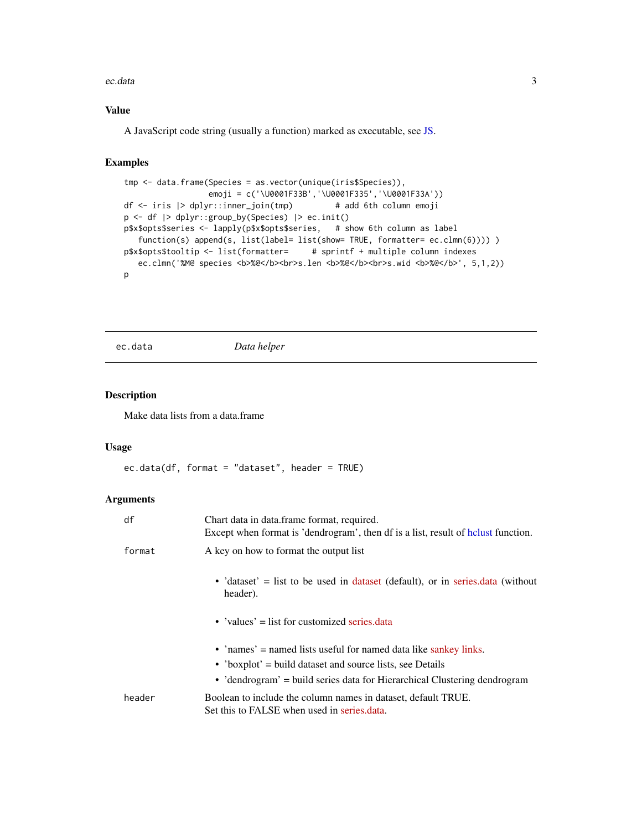#### <span id="page-2-0"></span>ec.data 3

# Value

A JavaScript code string (usually a function) marked as executable, see [JS.](#page-0-0)

# Examples

```
tmp <- data.frame(Species = as.vector(unique(iris$Species)),
                 emoji = c('\U0001F33B','\U0001F335','\U0001F33A'))
df <- iris |> dplyr::inner_join(tmp) # add 6th column emoji
p <- df |> dplyr::group_by(Species) |> ec.init()
p$x$opts$series <- lapply(p$x$opts$series, # show 6th column as label
   function(s) append(s, list(label= list(show= TRUE, formatter= ec.clmn(6)))) )
p$x$opts$tooltip <- list(formatter= # sprintf + multiple column indexes
  ec.clmn('%M@ species <b>%@</b><br>s.len <b>%@</b><br>s.wid <b>%@</b>', 5,1,2))
p
```
ec.data *Data helper*

#### Description

Make data lists from a data.frame

# Usage

```
ec.data(df, format = "dataset", header = TRUE)
```
# Arguments

| df     | Chart data in data.frame format, required.<br>Except when format is 'dendrogram', then df is a list, result of helust function. |
|--------|---------------------------------------------------------------------------------------------------------------------------------|
| format | A key on how to format the output list                                                                                          |
|        | • 'dataset' = list to be used in dataset (default), or in series data (without<br>header).                                      |
|        | • 'values' $=$ list for customized series data                                                                                  |
|        | • 'names' = named lists useful for named data like sankey links.                                                                |
|        | • 'boxplot' = build dataset and source lists, see Details                                                                       |
|        | • 'dendrogram' = build series data for Hierarchical Clustering dendrogram                                                       |
| header | Boolean to include the column names in dataset, default TRUE.<br>Set this to FALSE when used in series.data.                    |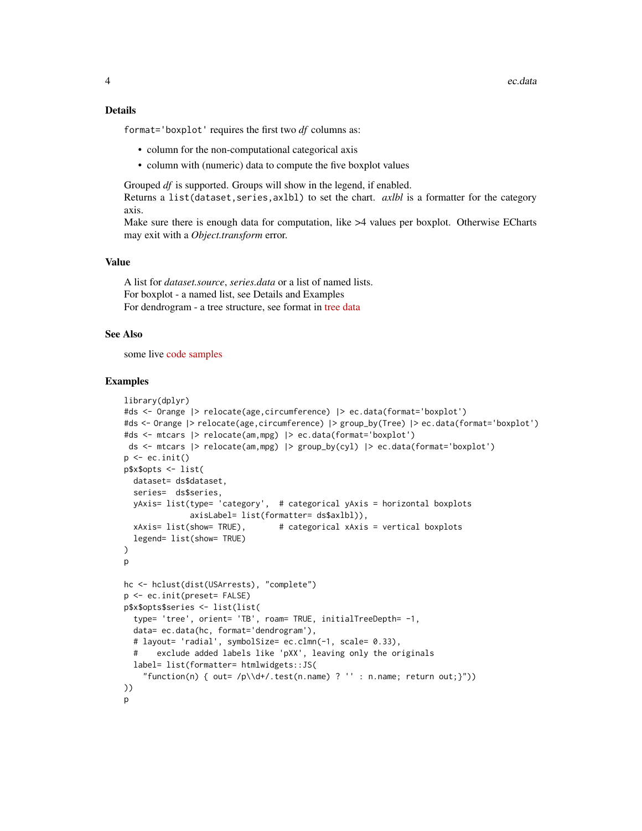#### Details

format='boxplot' requires the first two *df* columns as:

- column for the non-computational categorical axis
- column with (numeric) data to compute the five boxplot values

Grouped *df* is supported. Groups will show in the legend, if enabled.

Returns a list(dataset, series, axlbl) to set the chart. *axlbl* is a formatter for the category axis.

Make sure there is enough data for computation, like  $>4$  values per boxplot. Otherwise ECharts may exit with a *Object.transform* error.

#### Value

A list for *dataset.source*, *series.data* or a list of named lists. For boxplot - a named list, see Details and Examples For dendrogram - a tree structure, see format in [tree data](https://echarts.apache.org/en/option.html#series-tree.data)

#### See Also

some live [code samples](https://rpubs.com/echarty/data-models)

```
library(dplyr)
#ds <- Orange |> relocate(age,circumference) |> ec.data(format='boxplot')
#ds <- Orange |> relocate(age,circumference) |> group_by(Tree) |> ec.data(format='boxplot')
#ds <- mtcars |> relocate(am,mpg) |> ec.data(format='boxplot')
ds <- mtcars |> relocate(am,mpg) |> group_by(cyl) |> ec.data(format='boxplot')
p \leftarrow ec.init()p$x$opts <- list(
  dataset= ds$dataset,
  series= ds$series,
  yAxis= list(type= 'category', # categorical yAxis = horizontal boxplots
              axisLabel= list(formatter= ds$axlbl)),
  xAxis= list(show= TRUE), # categorical xAxis = vertical boxplots
  legend= list(show= TRUE)
)
p
hc <- hclust(dist(USArrests), "complete")
p <- ec.init(preset= FALSE)
p$x$opts$series <- list(list(
  type= 'tree', orient= 'TB', roam= TRUE, initialTreeDepth= -1,
  data= ec.data(hc, format='dendrogram'),
  # layout= 'radial', symbolSize= ec.clmn(-1, scale= 0.33),
       exclude added labels like 'pXX', leaving only the originals
  label= list(formatter= htmlwidgets::JS(
    "function(n) { out= /p\ldotstest(n.name) ? '' : n.name; return out; }"))
))
p
```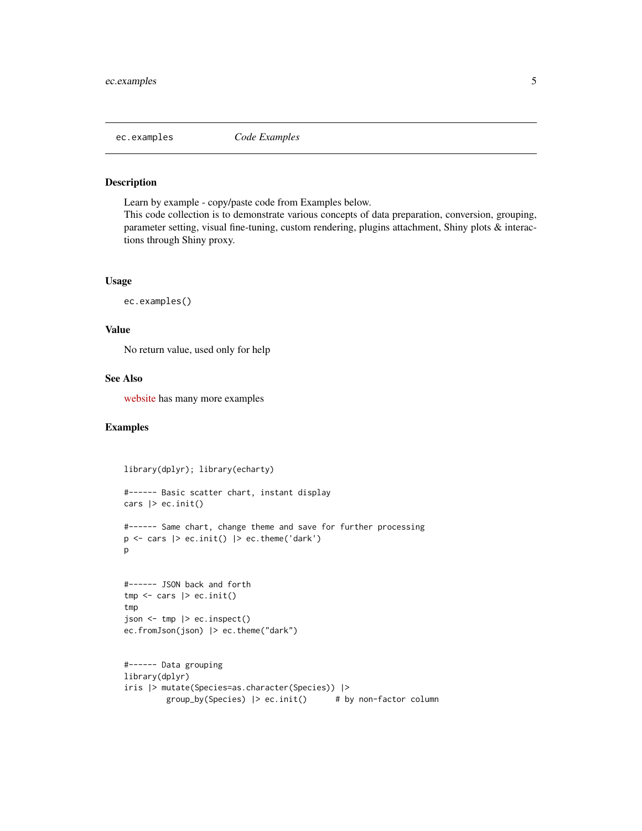<span id="page-4-1"></span><span id="page-4-0"></span>

Learn by example - copy/paste code from Examples below.

This code collection is to demonstrate various concepts of data preparation, conversion, grouping, parameter setting, visual fine-tuning, custom rendering, plugins attachment, Shiny plots & interactions through Shiny proxy.

#### Usage

```
ec.examples()
```
#### Value

No return value, used only for help

#### See Also

[website](https://helgasoft.github.io/echarty/) has many more examples

```
library(dplyr); library(echarty)
```

```
#------ Basic scatter chart, instant display
cars |> ec. init()
#------ Same chart, change theme and save for further processing
p \leftarrow \text{cars} |> ec.init() |> ec.theme('dark')
p
#------ JSON back and forth
tmp \leftarrow cars \ge ec.init()
tmp
json <- tmp |> ec.inspect()
ec.fromJson(json) |> ec.theme("dark")
#------ Data grouping
library(dplyr)
iris |> mutate(Species=as.character(Species)) |>
```

```
group_by(Species) |> ec.init() # by non-factor column
```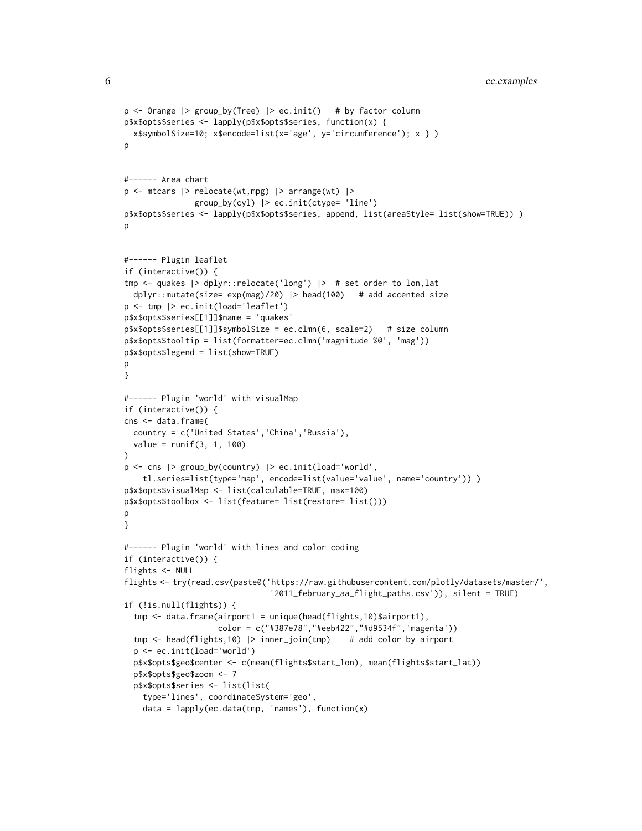```
p <- Orange |> group_by(Tree) |> ec.init() # by factor column
p$x$opts$series <- lapply(p$x$opts$series, function(x) {
  x$symbolSize=10; x$encode=list(x='age', y='circumference'); x } )
\mathbf{D}#------ Area chart
p <- mtcars |> relocate(wt,mpg) |> arrange(wt) |>
               group_by(cyl) |> ec.init(ctype= 'line')
p$x$opts$series <- lapply(p$x$opts$series, append, list(areaStyle= list(show=TRUE)) )
p
#------ Plugin leaflet
if (interactive()) {
tmp <- quakes |> dplyr::relocate('long') |> # set order to lon,lat
  dplyr::mutate(size= exp(mag)/20) |> head(100) # add accented size
p <- tmp |> ec.init(load='leaflet')
p$x$opts$series[[1]]$name = 'quakes'
p$x$opts$series[[1]]$symbolSize = ec.clmn(6, scale=2) # size column
p$x$opts$tooltip = list(formatter=ec.clmn('magnitude %@', 'mag'))
p$x$opts$legend = list(show=TRUE)
\mathsf{D}}
#------ Plugin 'world' with visualMap
if (interactive()) {
cns <- data.frame(
  country = c('United States','China','Russia'),
  value = runif(3, 1, 100)
)
p \le - cns |> group_by(country) |> ec.init(load='world',
    tl.series=list(type='map', encode=list(value='value', name='country')) )
p$x$opts$visualMap <- list(calculable=TRUE, max=100)
p$x$opts$toolbox <- list(feature= list(restore= list()))
p
}
#------ Plugin 'world' with lines and color coding
if (interactive()) {
flights <- NULL
flights <- try(read.csv(paste0('https://raw.githubusercontent.com/plotly/datasets/master/',
                               '2011_february_aa_flight_paths.csv')), silent = TRUE)
if (!is.null(flights)) {
  tmp <- data.frame(airport1 = unique(head(flights,10)$airport1),
                    color = c("#387e78","#eeb422","#d9534f",'magenta'))
  tmp <- head(flights,10) |> inner_join(tmp) # add color by airport
  p <- ec.init(load='world')
  p$x$opts$geo$center <- c(mean(flights$start_lon), mean(flights$start_lat))
  p$x$opts$geo$zoom <- 7
  p$x$opts$series <- list(list(
    type='lines', coordinateSystem='geo',
    data = lapply(ec.data(tmp, 'names'), function(x)
```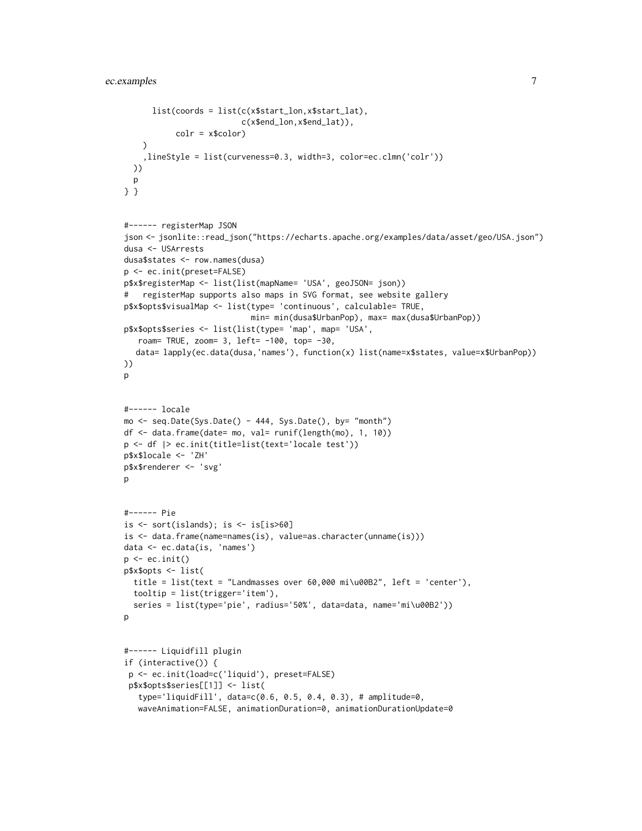```
list(coords = list(c(x$start_lon,x$start_lat),
                         c(x$end_lon,x$end_lat)),
           colr = x$color)
   )
    ,lineStyle = list(curveness=0.3, width=3, color=ec.clmn('colr'))
  ))
  p
} }
#------ registerMap JSON
json <- jsonlite::read_json("https://echarts.apache.org/examples/data/asset/geo/USA.json")
dusa <- USArrests
dusa$states <- row.names(dusa)
p <- ec.init(preset=FALSE)
p$x$registerMap <- list(list(mapName= 'USA', geoJSON= json))
# registerMap supports also maps in SVG format, see website gallery
p$x$opts$visualMap <- list(type= 'continuous', calculable= TRUE,
                           min= min(dusa$UrbanPop), max= max(dusa$UrbanPop))
p$x$opts$series <- list(list(type= 'map', map= 'USA',
   roam= TRUE, zoom= 3, left= -100, top= -30,
  data= lapply(ec.data(dusa,'names'), function(x) list(name=x$states, value=x$UrbanPop))
))
p
#------ locale
mo <- seq.Date(Sys.Date() - 444, Sys.Date(), by= "month")
df <- data.frame(date= mo, val= runif(length(mo), 1, 10))
p <- df |> ec.init(title=list(text='locale test'))
p$x$locale <- 'ZH'
p$x$renderer <- 'svg'
p
#------ Pie
is \le sort(islands); is \le is[is>60]
is <- data.frame(name=names(is), value=as.character(unname(is)))
data <- ec.data(is, 'names')
p \leftarrow ec.init()p$x$opts <- list(
  title = list(text = "Landmasses over 60,000 mi\u00B2", left = 'center'),
  tooltip = list(trigger='item'),
  series = list(type='pie', radius='50%', data=data, name='mi\u00B2'))
p
#------ Liquidfill plugin
if (interactive()) {
 p <- ec.init(load=c('liquid'), preset=FALSE)
 p$x$opts$series[[1]] <- list(
   type='liquidFill', data=c(0.6, 0.5, 0.4, 0.3), # amplitude=0,
   waveAnimation=FALSE, animationDuration=0, animationDurationUpdate=0
```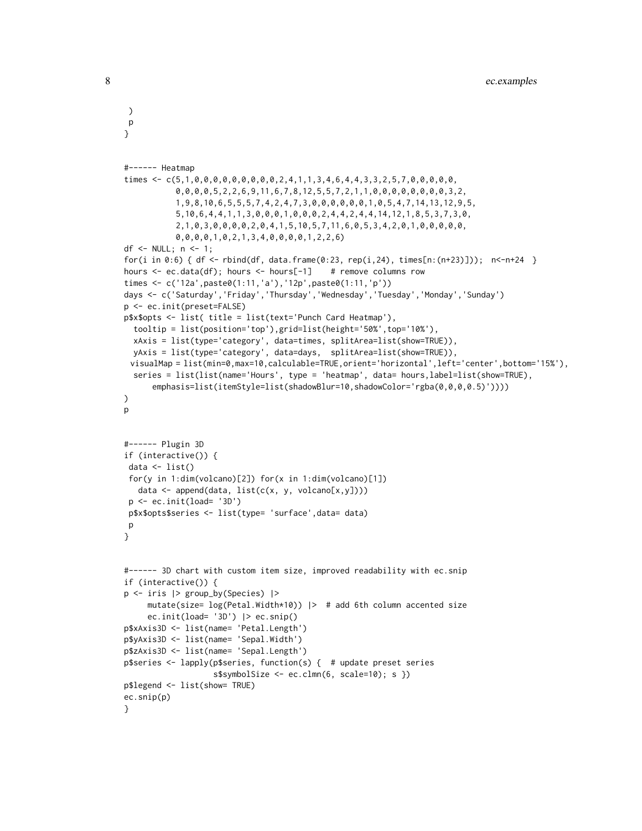```
)
p
}
#------ Heatmap
times <- c(5,1,0,0,0,0,0,0,0,0,0,2,4,1,1,3,4,6,4,4,3,3,2,5,7,0,0,0,0,0,0,
           0,0,0,0,5,2,2,6,9,11,6,7,8,12,5,5,7,2,1,1,0,0,0,0,0,0,0,0,3,2,
           1,9,8,10,6,5,5,5,7,4,2,4,7,3,0,0,0,0,0,0,1,0,5,4,7,14,13,12,9,5,
           5,10,6,4,4,1,1,3,0,0,0,1,0,0,0,2,4,4,2,4,4,14,12,1,8,5,3,7,3,0,
           2,1,0,3,0,0,0,0,2,0,4,1,5,10,5,7,11,6,0,5,3,4,2,0,1,0,0,0,0,0,
           0,0,0,0,1,0,2,1,3,4,0,0,0,0,1,2,2,6)
df <- NULL; n <- 1;
for(i in 0:6) { df \leq - rbind(df, data, frame(0:23, rep(i,24), times[n:(n+23)])); n \leq -n+24 }
hours \leq ec.data(df); hours \leq hours[-1] # remove columns row
times <- c('12a',paste0(1:11,'a'),'12p',paste0(1:11,'p'))
days <- c('Saturday','Friday','Thursday','Wednesday','Tuesday','Monday','Sunday')
p <- ec.init(preset=FALSE)
p$x$opts <- list( title = list(text='Punch Card Heatmap'),
 tooltip = list(position='top'),grid=list(height='50%',top='10%'),
 xAxis = list(type='category', data=times, splitArea=list(show=TRUE)),
 yAxis = list(type='category', data=days, splitArea=list(show=TRUE)),
 visualMap = list(min=0,max=10,calculable=TRUE,orient='horizontal',left='center',bottom='15%'),
 series = list(list(name='Hours', type = 'heatmap', data= hours,label=list(show=TRUE),
      emphasis=list(itemStyle=list(shadowBlur=10,shadowColor='rgba(0,0,0,0.5)'))))
)
p
#------ Plugin 3D
if (interactive()) {
data \leftarrow list()
for(y in 1:dim(volcano)[2]) for(x in 1:dim(volcano)[1])
  data <- append(data, list(c(x, y, volcano[x,y])))
p \leftarrow ec.init(load='3D')p$x$opts$series <- list(type= 'surface',data= data)
p
}
#------ 3D chart with custom item size, improved readability with ec.snip
if (interactive()) {
p <- iris |> group_by(Species) |>
     mutate(size= log(Petal.Width*10)) |> # add 6th column accented size
     ec.init(load= '3D') |> ec.snip()
p$xAxis3D <- list(name= 'Petal.Length')
p$yAxis3D <- list(name= 'Sepal.Width')
p$zAxis3D <- list(name= 'Sepal.Length')
p$series <- lapply(p$series, function(s) { # update preset series
                   s$symbolSize <- ec.clmn(6, scale=10); s })
p$legend <- list(show= TRUE)
ec.snip(p)
}
```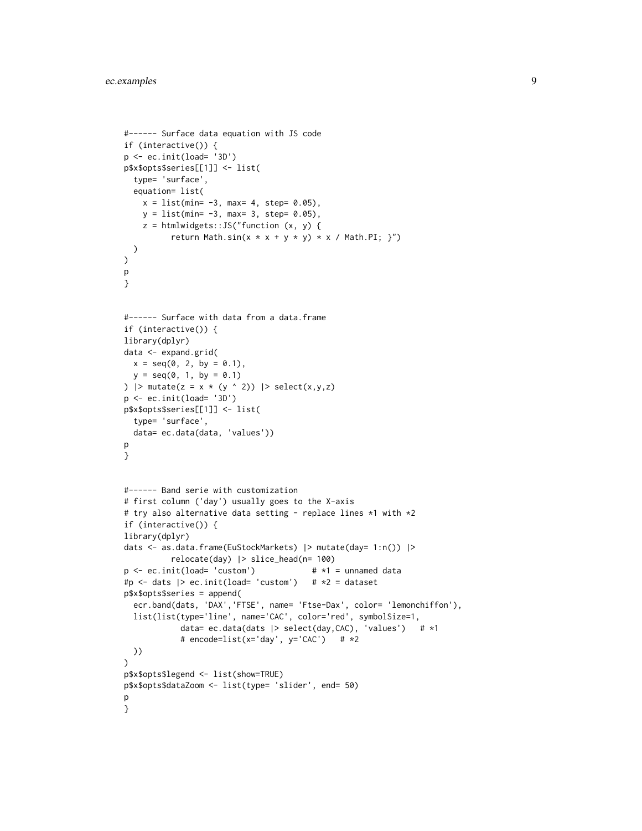```
#------ Surface data equation with JS code
if (interactive()) {
p \leftarrow ec.init(load='3D')p$x$opts$series[[1]] <- list(
  type= 'surface',
  equation= list(
   x = list(min = -3, max = 4, step = 0.05),
   y = list(min = -3, max = 3, step = 0.05),
   z = htmlwidgets::JS("function (x, y) {
          return Math.sin(x * x + y * y) * x / Math.PI; }")
  )
)
p
}
#------ Surface with data from a data.frame
if (interactive()) {
library(dplyr)
data <- expand.grid(
 x = seq(0, 2, by = 0.1),
  y = seq(0, 1, by = 0.1)) |> mutate(z = x * (y ^ 2)) |> select(x,y,z)
p <- ec.init(load= '3D')
p$x$opts$series[[1]] <- list(
  type= 'surface',
  data= ec.data(data, 'values'))
p
}
#------ Band serie with customization
# first column ('day') usually goes to the X-axis
# try also alternative data setting - replace lines *1 with *2
if (interactive()) {
library(dplyr)
dats <- as.data.frame(EuStockMarkets) |> mutate(day= 1:n()) |>
          relocate(day) |> slice_head(n= 100)
p \le - ec.init(load= 'custom') # *1 = unnamed data
#p <- dats |> ec.init(load= 'custom') # *2 = dataset
p$x$opts$series = append(
  ecr.band(dats, 'DAX','FTSE', name= 'Ftse-Dax', color= 'lemonchiffon'),
  list(list(type='line', name='CAC', color='red', symbolSize=1,
            data= ec.data(dats |> select(day,CAC), 'values') # *1
            # encode=list(x='day', y='CAC') # *2
 ))
\lambdap$x$opts$legend <- list(show=TRUE)
p$x$opts$dataZoom <- list(type= 'slider', end= 50)
p
}
```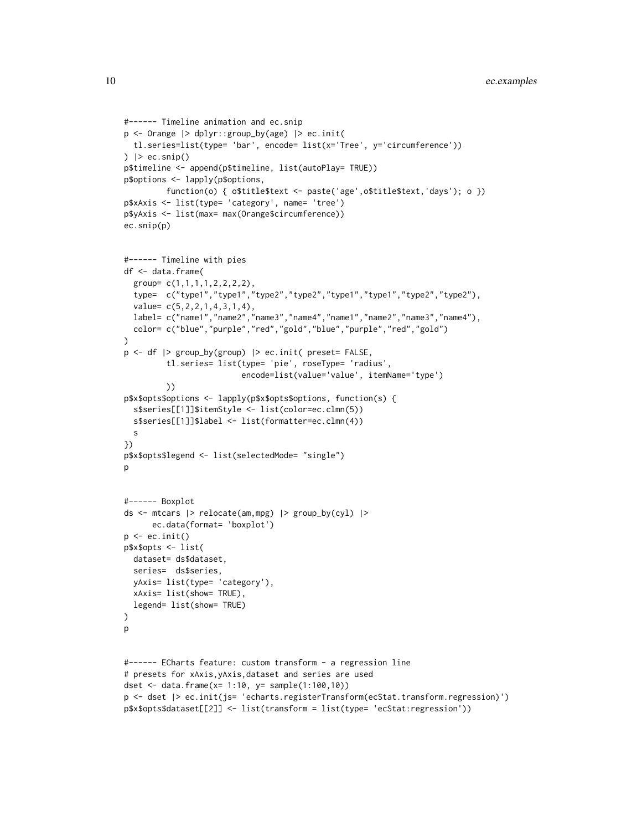```
#------ Timeline animation and ec.snip
p <- Orange |> dplyr::group_by(age) |> ec.init(
 tl.series=list(type= 'bar', encode= list(x='Tree', y='circumference'))
) \vert ec.snip()
p$timeline <- append(p$timeline, list(autoPlay= TRUE))
p$options <- lapply(p$options,
         function(o) { o$title$text <- paste('age',o$title$text,'days'); o })
p$xAxis <- list(type= 'category', name= 'tree')
p$yAxis <- list(max= max(Orange$circumference))
ec.snip(p)
#------ Timeline with pies
df <- data.frame(
 group= c(1,1,1,1,2,2,2,2),
 type= c("type1","type1","type2","type2","type1","type1","type2","type2"),
 value= c(5,2,2,1,4,3,1,4),
 label= c("name1","name2","name3","name4","name1","name2","name3","name4"),
 color= c("blue","purple","red","gold","blue","purple","red","gold")
)
p <- df |> group_by(group) |> ec.init( preset= FALSE,
         tl.series= list(type= 'pie', roseType= 'radius',
                         encode=list(value='value', itemName='type')
        ))
p$x$opts$options <- lapply(p$x$opts$options, function(s) {
 s$series[[1]]$itemStyle <- list(color=ec.clmn(5))
 s$series[[1]]$label <- list(formatter=ec.clmn(4))
 s
})
p$x$opts$legend <- list(selectedMode= "single")
p
#------ Boxplot
ds <- mtcars |> relocate(am,mpg) |> group_by(cyl) |>
     ec.data(format= 'boxplot')
p \leftarrow ec.init()p$x$opts <- list(
 dataset= ds$dataset,
 series= ds$series,
 yAxis= list(type= 'category'),
 xAxis= list(show= TRUE),
 legend= list(show= TRUE)
)
p
#------ ECharts feature: custom transform - a regression line
# presets for xAxis,yAxis,dataset and series are used
dset <- data.frame(x= 1:10, y= sample(1:100,10))
p <- dset |> ec.init(js= 'echarts.registerTransform(ecStat.transform.regression)')
p$x$opts$dataset[[2]] <- list(transform = list(type= 'ecStat:regression'))
```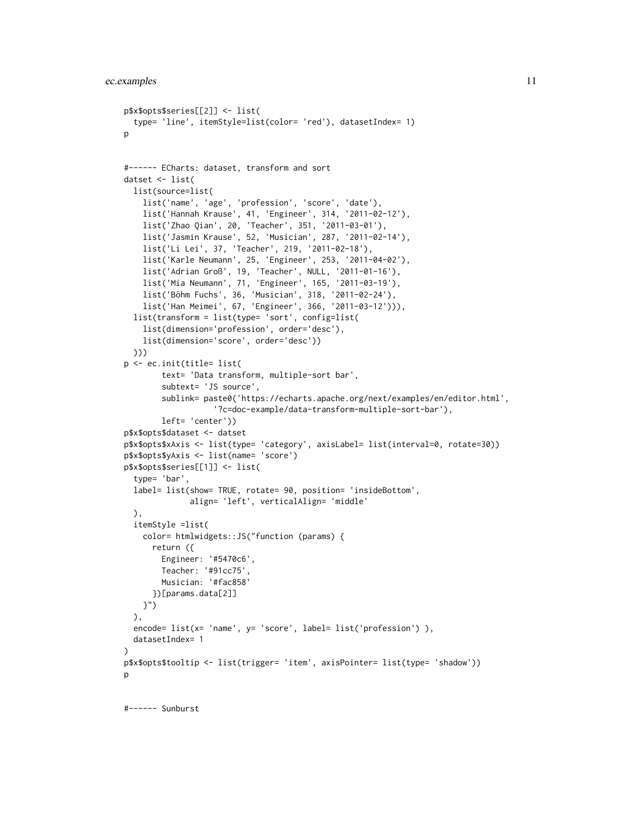```
p$x$opts$series[[2]] <- list(
  type= 'line', itemStyle=list(color= 'red'), datasetIndex= 1)
p
#------ ECharts: dataset, transform and sort
datset <- list(
  list(source=list(
    list('name', 'age', 'profession', 'score', 'date'),
    list('Hannah Krause', 41, 'Engineer', 314, '2011-02-12'),
    list('Zhao Qian', 20, 'Teacher', 351, '2011-03-01'),
    list('Jasmin Krause', 52, 'Musician', 287, '2011-02-14'),
    list('Li Lei', 37, 'Teacher', 219, '2011-02-18'),
    list('Karle Neumann', 25, 'Engineer', 253, '2011-04-02'),
    list('Adrian Groß', 19, 'Teacher', NULL, '2011-01-16'),
    list('Mia Neumann', 71, 'Engineer', 165, '2011-03-19'),
    list('Böhm Fuchs', 36, 'Musician', 318, '2011-02-24'),
    list('Han Meimei', 67, 'Engineer', 366, '2011-03-12'))),
  list(transform = list(type= 'sort', config=list(
    list(dimension='profession', order='desc'),
    list(dimension='score', order='desc'))
  )))
p <- ec.init(title= list(
        text= 'Data transform, multiple-sort bar',
        subtext= 'JS source',
        sublink= paste0('https://echarts.apache.org/next/examples/en/editor.html',
                   '?c=doc-example/data-transform-multiple-sort-bar'),
        left= 'center'))
p$x$opts$dataset <- datset
p$x$opts$xAxis <- list(type= 'category', axisLabel= list(interval=0, rotate=30))
p$x$opts$yAxis <- list(name= 'score')
p$x$opts$series[[1]] <- list(
  type= 'bar',
  label= list(show= TRUE, rotate= 90, position= 'insideBottom',
              align= 'left', verticalAlign= 'middle'
  ),
  itemStyle =list(
    color= htmlwidgets::JS("function (params) {
      return ({
        Engineer: '#5470c6',
        Teacher: '#91cc75',
        Musician: '#fac858'
      })[params.data[2]]
   }")
  ),
  encode= list(x= 'name', y= 'score', label= list('profession') ),
  datasetIndex= 1
\lambdap$x$opts$tooltip <- list(trigger= 'item', axisPointer= list(type= 'shadow'))
\mathbf{D}
```
#------ Sunburst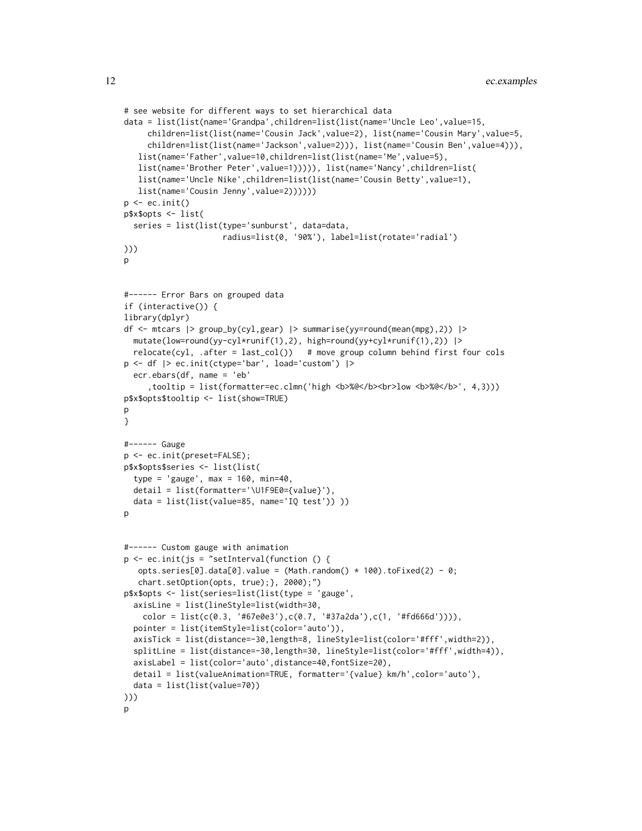```
# see website for different ways to set hierarchical data
data = list(list(name='Grandpa',children=list(list(name='Uncle Leo',value=15,
     children=list(list(name='Cousin Jack',value=2), list(name='Cousin Mary',value=5,
     children=list(list(name='Jackson',value=2))), list(name='Cousin Ben',value=4))),
  list(name='Father',value=10,children=list(list(name='Me',value=5),
   list(name='Brother Peter',value=1))))), list(name='Nancy',children=list(
   list(name='Uncle Nike',children=list(list(name='Cousin Betty',value=1),
  list(name='Cousin Jenny',value=2))))))
p \leftarrow ec.init()p$x$opts <- list(
 series = list(list(type='sunburst', data=data,
                     radius=list(0, '90%'), label=list(rotate='radial')
)))
\mathsf{D}#------ Error Bars on grouped data
if (interactive()) {
library(dplyr)
df <- mtcars |> group_by(cyl,gear) |> summarise(yy=round(mean(mpg),2)) |>
 mutate(low=round(yy-cyl*runif(1),2), high=round(yy+cyl*runif(1),2)) |>
 relocated(cyl, .after = last_col()) # move group column behind first four cols
p <- df |> ec.init(ctype='bar', load='custom') |>
 ecr.ebars(df, name = 'eb'
     ,tooltip = list(formatter=ec.clmn('high <b>%@</b><br>low <b>%@</b>', 4,3)))
p$x$opts$tooltip <- list(show=TRUE)
p
}
#------ Gauge
p <- ec.init(preset=FALSE);
p$x$opts$series <- list(list(
 type = 'gauge', max = 160, min=40,
 detail = list(formatter='\U1F9E0={value}'),
 data = list(list(value=85, name='IQ test')) ))
p
#------ Custom gauge with animation
p \leftarrow ec.init(js = "setInterval(function () )opts.series[0].data[0].value = (Math.random() * 100).toFixed(2) - 0;
   chart.setOption(opts, true);}, 2000);")
p$x$opts <- list(series=list(list(type = 'gauge',
  axisLine = list(lineStyle=list(width=30,
    color = list(c(0.3, '#67e0e3'),c(0.7, '#37a2da'),c(1, '#fd666d')))),
 pointer = list(itemStyle=list(color='auto')),
 axisTick = list(distance=-30,length=8, lineStyle=list(color='#fff',width=2)),
 splitLine = list(distance=-30,length=30, lineStyle=list(color='#fff',width=4)),
 axisLabel = list(color='auto',distance=40,fontSize=20),
 detail = list(valueAnimation=TRUE, formatter='{value} km/h',color='auto'),
 data = list(list(value=70))
)))
p
```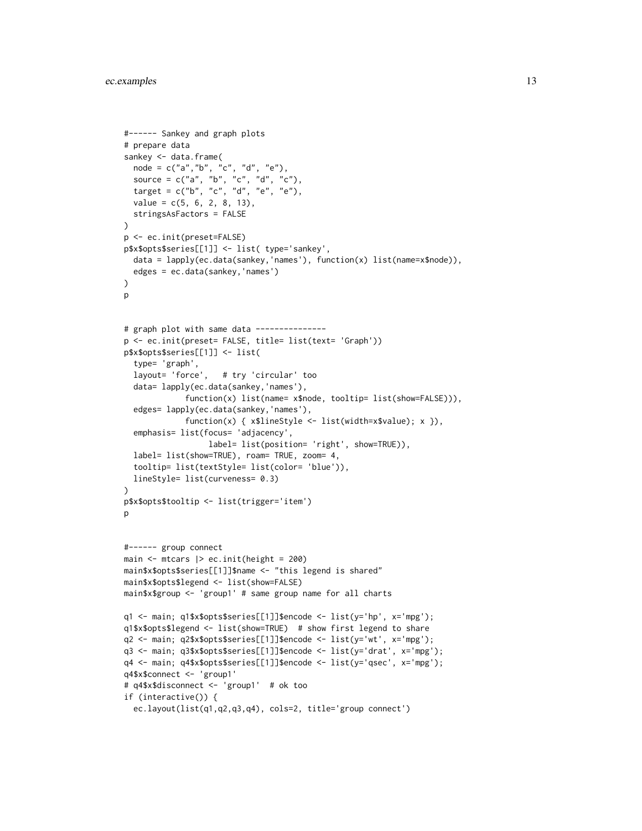```
#------ Sankey and graph plots
# prepare data
sankey <- data.frame(
 node = c("a","b", "c", "d", "e"),
  source = c("a", "b", "c", "d", "c"),target = c("b", "c", "d", "e", "e"),
  value = c(5, 6, 2, 8, 13),stringsAsFactors = FALSE
)
p <- ec.init(preset=FALSE)
p$x$opts$series[[1]] <- list( type='sankey',
  data = lapply(ec.data(sankey,'names'), function(x) list(name=x$node)),
  edges = ec.data(sankey,'names')
)
p
# graph plot with same data ---------------
p <- ec.init(preset= FALSE, title= list(text= 'Graph'))
p$x$opts$series[[1]] <- list(
  type= 'graph',
  layout= 'force', # try 'circular' too
  data= lapply(ec.data(sankey,'names'),
             function(x) list(name= x$node, tooltip= list(show=FALSE))),
  edges= lapply(ec.data(sankey,'names'),
             function(x) { x$lineStyle <- list(width=x$value); x }),
  emphasis= list(focus= 'adjacency',
                  label= list(position= 'right', show=TRUE)),
  label= list(show=TRUE), roam= TRUE, zoom= 4,
  tooltip= list(textStyle= list(color= 'blue')),
  lineStyle= list(curveness= 0.3)
)
p$x$opts$tooltip <- list(trigger='item')
p
#------ group connect
main <- mtcars |> ec.init(height = 200)
main$x$opts$series[[1]]$name <- "this legend is shared"
main$x$opts$legend <- list(show=FALSE)
main$x$group <- 'group1' # same group name for all charts
q1 <- main; q1$x$opts$series[[1]]$encode <- list(y='hp', x='mpg');
q1$x$opts$legend <- list(show=TRUE) # show first legend to share
q2 <- main; q2$x$opts$series[[1]]$encode <- list(y='wt', x='mpg');
q3 <- main; q3$x$opts$series[[1]]$encode <- list(y='drat', x='mpg');
q4 <- main; q4$x$opts$series[[1]]$encode <- list(y='qsec', x='mpg');
q4$x$connect <- 'group1'
# q4$x$disconnect <- 'group1' # ok too
if (interactive()) {
  ec.layout(list(q1,q2,q3,q4), cols=2, title='group connect')
```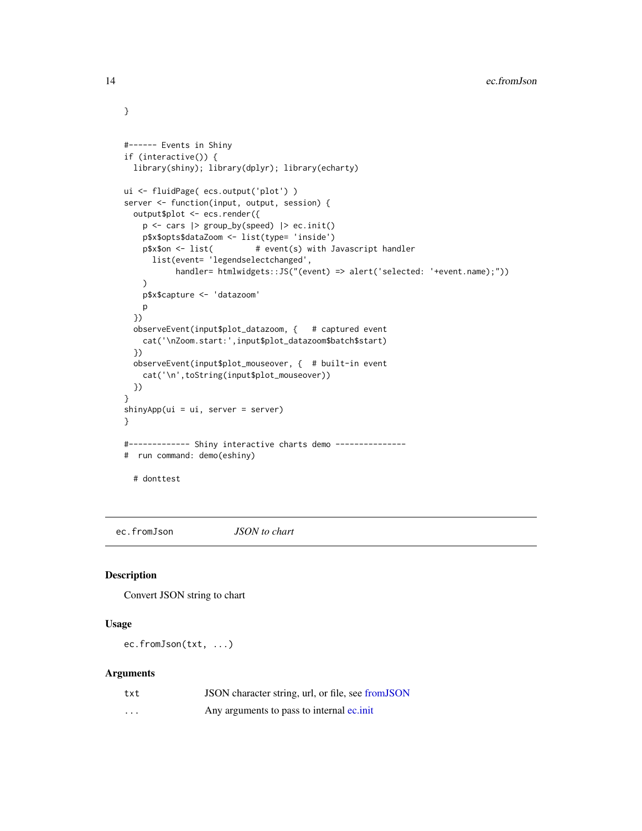```
#------ Events in Shiny
if (interactive()) {
  library(shiny); library(dplyr); library(echarty)
ui <- fluidPage( ecs.output('plot') )
server <- function(input, output, session) {
  output$plot <- ecs.render({
   p \leftarrow \text{cars} |> group_by(speed) |> ec.init()
   p$x$opts$dataZoom <- list(type= 'inside')
   p$x$on <- list( # event(s) with Javascript handler
      list(event= 'legendselectchanged',
           handler= htmlwidgets::JS("(event) => alert('selected: '+event.name);"))
    )
   p$x$capture <- 'datazoom'
   p
  })
  observeEvent(input$plot_datazoom, { # captured event
   cat('\nZoom.start:',input$plot_datazoom$batch$start)
  })
  observeEvent(input$plot_mouseover, { # built-in event
    cat('\n',toString(input$plot_mouseover))
  })
}
shinyApp(ui = ui, server = server)
}
#------------- Shiny interactive charts demo ---------------
# run command: demo(eshiny)
  # donttest
```
ec.fromJson *JSON to chart*

#### Description

Convert JSON string to chart

# Usage

ec.fromJson(txt, ...)

#### Arguments

| txt      | JSON character string, url, or file, see from JSON |
|----------|----------------------------------------------------|
| $\cdots$ | Any arguments to pass to internal equinit          |

<span id="page-13-0"></span>

}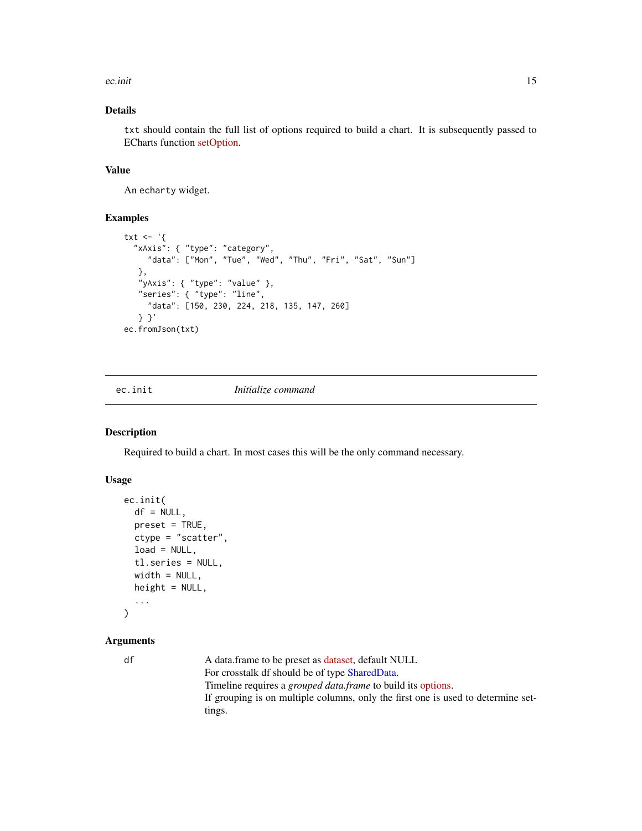<span id="page-14-0"></span>ec.init 15

# Details

txt should contain the full list of options required to build a chart. It is subsequently passed to ECharts function [setOption.](https://echarts.apache.org/en/api.html#echartsInstance.setOption)

# Value

An echarty widget.

## Examples

```
txt \leftarrow '{
  "xAxis": { "type": "category",
     "data": ["Mon", "Tue", "Wed", "Thu", "Fri", "Sat", "Sun"]
   },
   "yAxis": { "type": "value" },
   "series": { "type": "line",
     "data": [150, 230, 224, 218, 135, 147, 260]
   } }'
ec.fromJson(txt)
```
<span id="page-14-1"></span>ec.init *Initialize command*

# Description

Required to build a chart. In most cases this will be the only command necessary.

#### Usage

```
ec.init(
  df = NULL,
  preset = TRUE,
  ctype = "scatter",
  load = NULL,tl.series = NULL,
  width = NULL,
  height = NULL,...
\mathcal{L}
```
# Arguments

df A data.frame to be preset as [dataset,](https://echarts.apache.org/en/option.html#dataset) default NULL For crosstalk df should be of type [SharedData.](#page-0-0) Timeline requires a *grouped data.frame* to build its [options.](https://echarts.apache.org/en/option.html#options) If grouping is on multiple columns, only the first one is used to determine settings.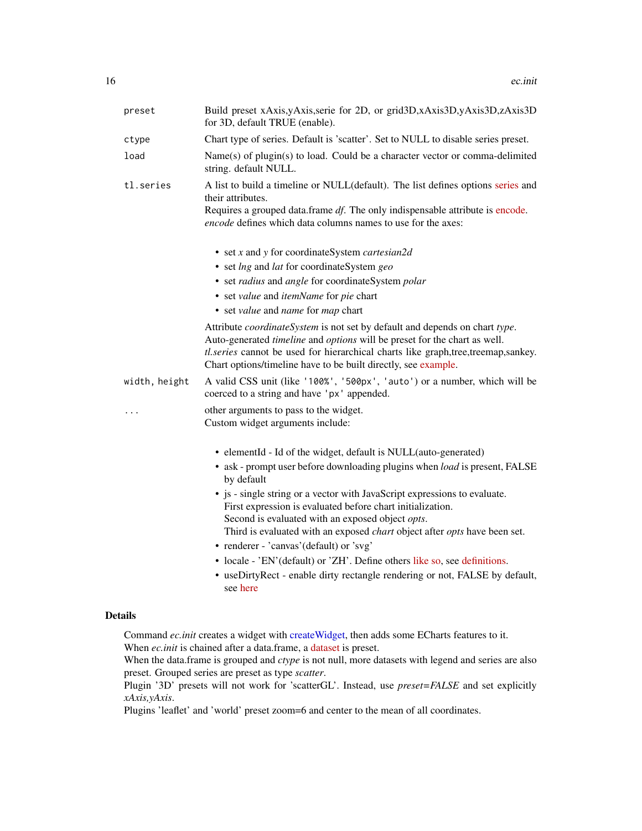<span id="page-15-0"></span>

| preset        | Build preset xAxis, yAxis, serie for 2D, or grid3D, xAxis3D, yAxis3D, zAxis3D<br>for 3D, default TRUE (enable).                                                                                                                                                                                                |
|---------------|----------------------------------------------------------------------------------------------------------------------------------------------------------------------------------------------------------------------------------------------------------------------------------------------------------------|
| ctype         | Chart type of series. Default is 'scatter'. Set to NULL to disable series preset.                                                                                                                                                                                                                              |
| load          | Name(s) of plugin(s) to load. Could be a character vector or comma-delimited<br>string. default NULL.                                                                                                                                                                                                          |
| tl.series     | A list to build a timeline or NULL(default). The list defines options series and<br>their attributes.<br>Requires a grouped data.frame df. The only indispensable attribute is encode.<br>encode defines which data columns names to use for the axes:                                                         |
|               | • set x and y for coordinateSystem <i>cartesian2d</i>                                                                                                                                                                                                                                                          |
|               | • set lng and lat for coordinateSystem geo                                                                                                                                                                                                                                                                     |
|               | • set radius and angle for coordinateSystem polar                                                                                                                                                                                                                                                              |
|               | • set value and itemName for pie chart                                                                                                                                                                                                                                                                         |
|               | • set value and name for map chart                                                                                                                                                                                                                                                                             |
|               | Attribute coordinateSystem is not set by default and depends on chart type.<br>Auto-generated timeline and options will be preset for the chart as well.<br>tl.series cannot be used for hierarchical charts like graph,tree,treemap,sankey.<br>Chart options/timeline have to be built directly, see example. |
| width, height | A valid CSS unit (like '100%', '500px', 'auto') or a number, which will be<br>coerced to a string and have 'px' appended.                                                                                                                                                                                      |
|               | other arguments to pass to the widget.<br>Custom widget arguments include:                                                                                                                                                                                                                                     |
|               | • elementId - Id of the widget, default is NULL(auto-generated)                                                                                                                                                                                                                                                |
|               | • ask - prompt user before downloading plugins when load is present, FALSE<br>by default                                                                                                                                                                                                                       |
|               | • js - single string or a vector with JavaScript expressions to evaluate.<br>First expression is evaluated before chart initialization.<br>Second is evaluated with an exposed object opts.<br>Third is evaluated with an exposed <i>chart</i> object after <i>opts</i> have been set.                         |
|               | • renderer - 'canvas' (default) or 'svg'                                                                                                                                                                                                                                                                       |
|               | • locale - 'EN'(default) or 'ZH'. Define others like so, see definitions.                                                                                                                                                                                                                                      |
|               | • useDirtyRect - enable dirty rectangle rendering or not, FALSE by default,<br>see here                                                                                                                                                                                                                        |
| - 21 -        |                                                                                                                                                                                                                                                                                                                |

#### Details

Command *ec.init* creates a widget with [createWidget,](#page-0-0) then adds some ECharts features to it. When *ec.init* is chained after a data.frame, a [dataset](https://echarts.apache.org/en/option.html#dataset) is preset.

When the data.frame is grouped and *ctype* is not null, more datasets with legend and series are also preset. Grouped series are preset as type *scatter*.

Plugin '3D' presets will not work for 'scatterGL'. Instead, use *preset=FALSE* and set explicitly *xAxis,yAxis*.

Plugins 'leaflet' and 'world' preset zoom=6 and center to the mean of all coordinates.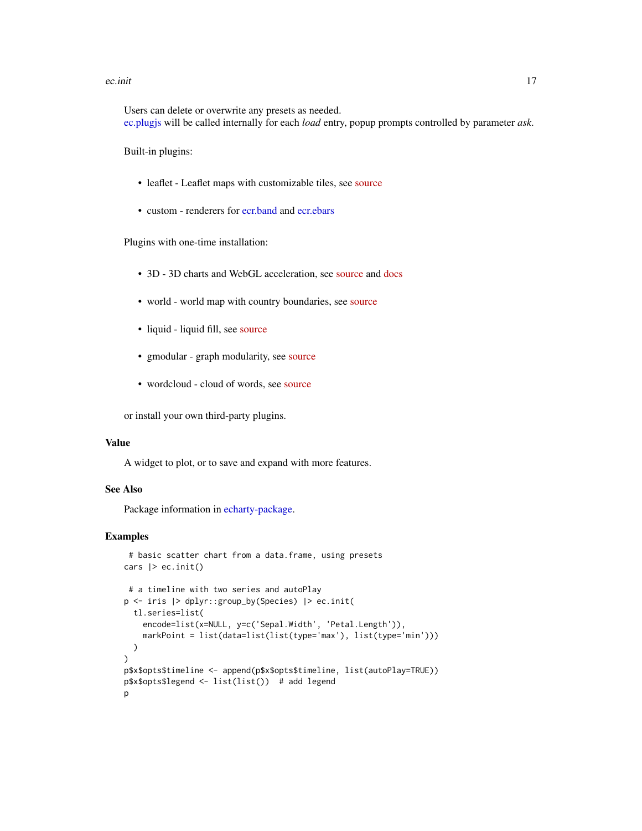#### <span id="page-16-0"></span>ec.init 17

Users can delete or overwrite any presets as needed. [ec.plugjs](#page-19-1) will be called internally for each *load* entry, popup prompts controlled by parameter *ask*.

Built-in plugins:

- leaflet Leaflet maps with customizable tiles, see [source](https://github.com/gnijuohz/echarts-leaflet#readme)
- custom renderers for [ecr.band](#page-22-1) and [ecr.ebars](#page-23-1)

Plugins with one-time installation:

- 3D 3D charts and WebGL acceleration, see [source](https://github.com/ecomfe/echarts-gl) and [docs](https://echarts.apache.org/en/option-gl.html#series)
- world world map with country boundaries, see [source](https://github.com/apache/echarts/tree/master/test/data/map/js)
- liquid liquid fill, see [source](https://github.com/ecomfe/echarts-liquidfill)
- gmodular graph modularity, see [source](https://github.com/ecomfe/echarts-graph-modularity)
- wordcloud cloud of words, see [source](https://github.com/ecomfe/echarts-wordcloud)

or install your own third-party plugins.

#### Value

A widget to plot, or to save and expand with more features.

# See Also

Package information in [echarty-package.](#page-0-0)

```
# basic scatter chart from a data.frame, using presets
cars |> ec.init()
# a timeline with two series and autoPlay
p <- iris |> dplyr::group_by(Species) |> ec.init(
 tl.series=list(
   encode=list(x=NULL, y=c('Sepal.Width', 'Petal.Length')),
    markPoint = list(data=list(list(type='max'), list(type='min')))
 )
)
p$x$opts$timeline <- append(p$x$opts$timeline, list(autoPlay=TRUE))
p$x$opts$legend <- list(list()) # add legend
p
```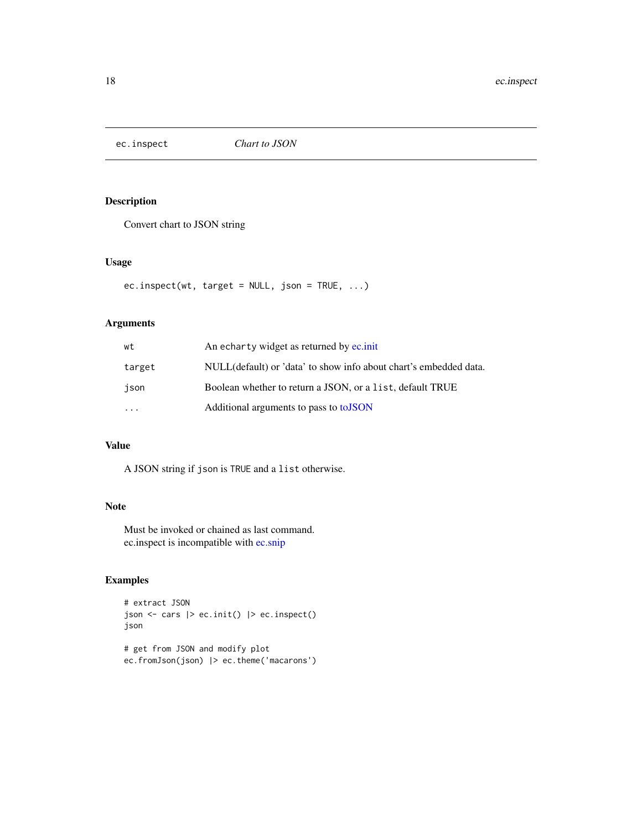<span id="page-17-0"></span>

Convert chart to JSON string

# Usage

ec.inspect(wt, target =  $NULL$ , json =  $TRUE$ , ...)

# Arguments

| wt                      | An echarty widget as returned by ec.init                          |
|-------------------------|-------------------------------------------------------------------|
| target                  | NULL(default) or 'data' to show info about chart's embedded data. |
| ison                    | Boolean whether to return a JSON, or a list, default TRUE         |
| $\cdot$ $\cdot$ $\cdot$ | Additional arguments to pass to to JSON                           |

## Value

A JSON string if json is TRUE and a list otherwise.

#### Note

Must be invoked or chained as last command. ec.inspect is incompatible with [ec.snip](#page-20-1)

# Examples

```
# extract JSON
json <- cars |> ec.init() |> ec.inspect()
json
# get from JSON and modify plot
```
ec.fromJson(json) |> ec.theme('macarons')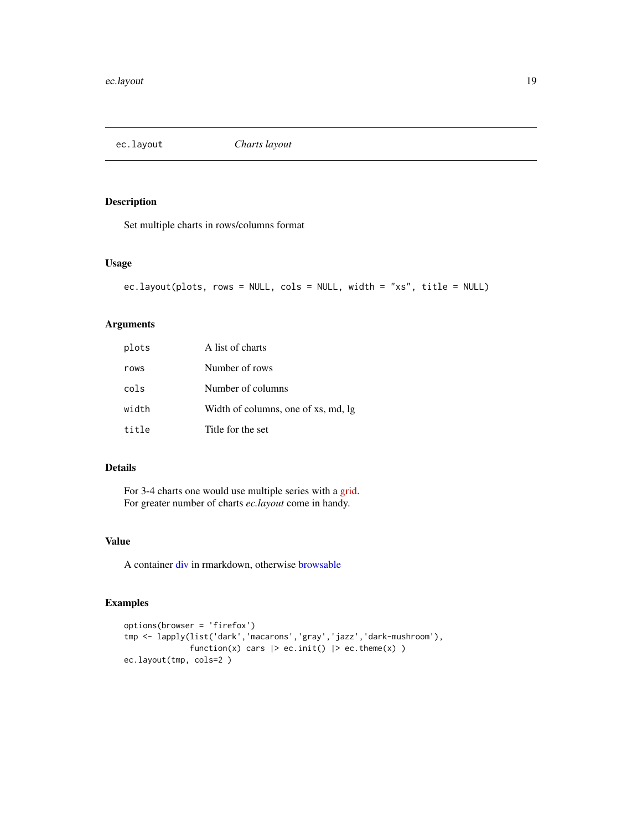<span id="page-18-0"></span>

Set multiple charts in rows/columns format

#### Usage

```
ec.layout(plots, rows = NULL, cols = NULL, width = "xs", title = NULL)
```
# Arguments

| plots | A list of charts                    |
|-------|-------------------------------------|
| rows  | Number of rows                      |
| cols  | Number of columns                   |
| width | Width of columns, one of xs, md, lg |
| title | Title for the set                   |

# Details

For 3-4 charts one would use multiple series with a [grid.](https://echarts.apache.org/en/option.html#grid) For greater number of charts *ec.layout* come in handy.

# Value

A container [div](#page-0-0) in rmarkdown, otherwise [browsable](#page-0-0)

```
options(browser = 'firefox')
tmp <- lapply(list('dark','macarons','gray','jazz','dark-mushroom'),
              function(x) cars |> ec.init() |> ec.theme(x) )
ec.layout(tmp, cols=2 )
```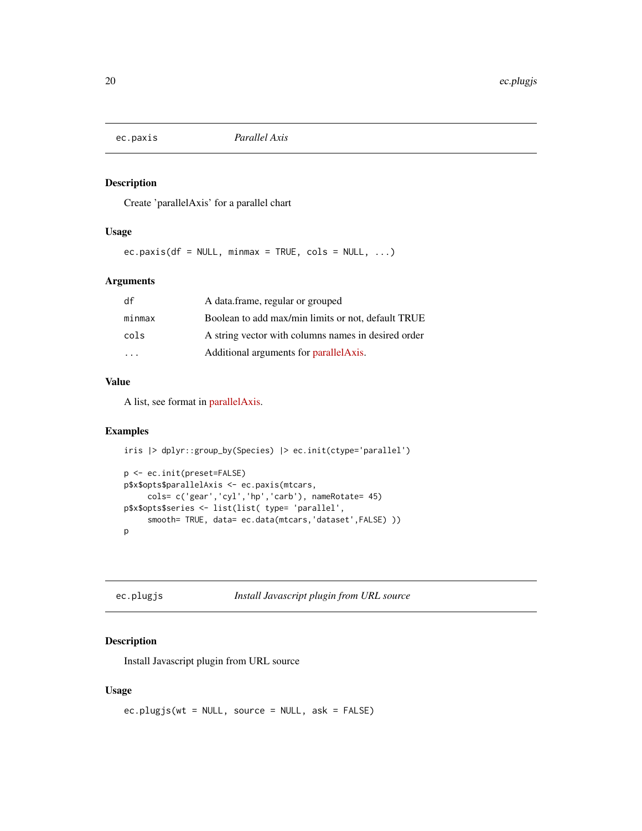<span id="page-19-0"></span>

Create 'parallelAxis' for a parallel chart

# Usage

 $ec.paxis(df = NULL, minmax = TRUE, cols = NULL, ...)$ 

#### Arguments

| df     | A data.frame, regular or grouped                    |
|--------|-----------------------------------------------------|
| minmax | Boolean to add max/min limits or not, default TRUE  |
| cols   | A string vector with columns names in desired order |
|        | Additional arguments for parallel Axis.             |

# Value

A list, see format in [parallelAxis.](https://echarts.apache.org/en/option.html#parallelAxis)

# Examples

```
iris |> dplyr::group_by(Species) |> ec.init(ctype='parallel')
p <- ec.init(preset=FALSE)
p$x$opts$parallelAxis <- ec.paxis(mtcars,
     cols= c('gear','cyl','hp','carb'), nameRotate= 45)
p$x$opts$series <- list(list( type= 'parallel',
     smooth= TRUE, data= ec.data(mtcars,'dataset',FALSE) ))
p
```
<span id="page-19-1"></span>ec.plugjs *Install Javascript plugin from URL source*

# Description

Install Javascript plugin from URL source

# Usage

```
ec.plugjs(wt = NULL, source = NULL, ask = FALSE)
```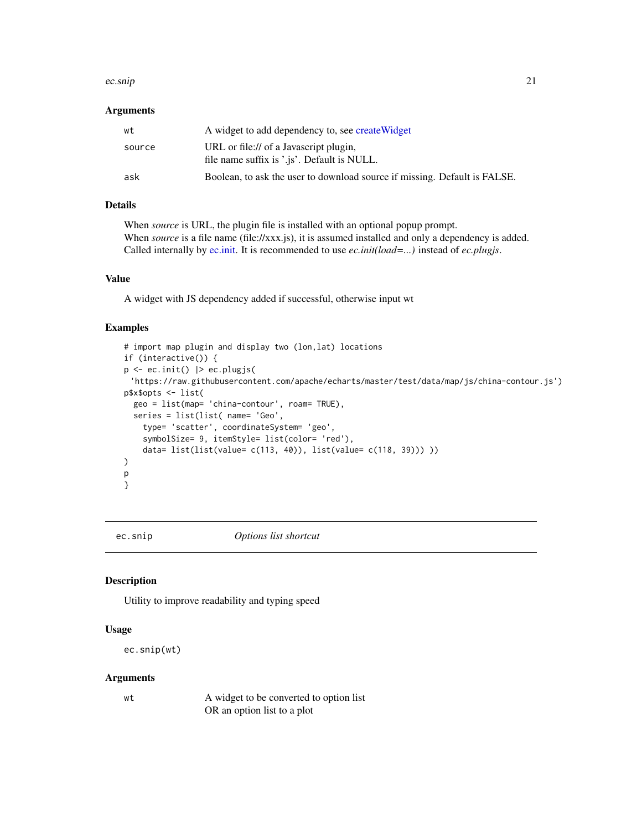#### <span id="page-20-0"></span>ec.snip 21

#### Arguments

| wt     | A widget to add dependency to, see create Widget                                      |
|--------|---------------------------------------------------------------------------------------|
| source | URL or file:// of a Javascript plugin.<br>file name suffix is '.js'. Default is NULL. |
| ask    | Boolean, to ask the user to download source if missing. Default is FALSE.             |

## Details

When *source* is URL, the plugin file is installed with an optional popup prompt. When *source* is a file name (file://xxx.js), it is assumed installed and only a dependency is added. Called internally by [ec.init.](#page-14-1) It is recommended to use *ec.init(load=...)* instead of *ec.plugjs*.

#### Value

A widget with JS dependency added if successful, otherwise input wt

#### Examples

```
# import map plugin and display two (lon,lat) locations
if (interactive()) {
p <- ec.init() |> ec.plugjs(
 'https://raw.githubusercontent.com/apache/echarts/master/test/data/map/js/china-contour.js')
p$x$opts <- list(
  geo = list(map= 'china-contour', roam= TRUE),
  series = list(list( name= 'Geo',
    type= 'scatter', coordinateSystem= 'geo',
    symbolSize= 9, itemStyle= list(color= 'red'),
    data= list(list(value= c(113, 40)), list(value= c(118, 39))) ))
)
p
}
```
<span id="page-20-1"></span>ec.snip *Options list shortcut*

#### Description

Utility to improve readability and typing speed

# Usage

ec.snip(wt)

#### Arguments

wt A widget to be converted to option list OR an option list to a plot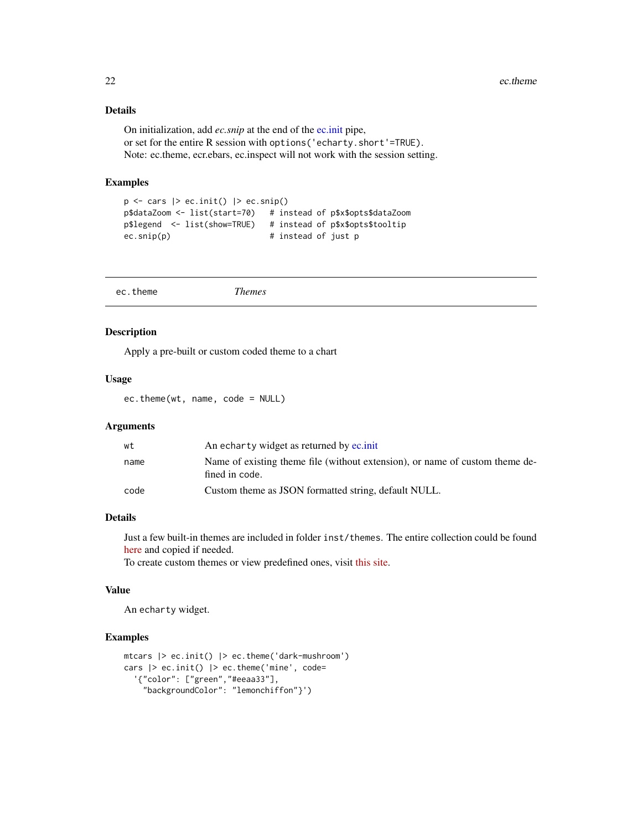# Details

On initialization, add *ec.snip* at the end of the [ec.init](#page-14-1) pipe, or set for the entire R session with options('echarty.short'=TRUE). Note: ec.theme, ecr.ebars, ec.inspect will not work with the session setting.

#### Examples

```
p \leftarrow \text{cars} |> ec.init() |> ec.snip()
p$dataZoom <- list(start=70) # instead of p$x$opts$dataZoom
p$legend <- list(show=TRUE) # instead of p$x$opts$tooltip
ec.snip(p) # instead of just p
```

|--|

#### Description

Apply a pre-built or custom coded theme to a chart

#### Usage

ec.theme(wt, name, code = NULL)

#### Arguments

| wt   | An echarty widget as returned by ec.init                                                       |
|------|------------------------------------------------------------------------------------------------|
| name | Name of existing theme file (without extension), or name of custom theme de-<br>fined in code. |
| code | Custom theme as JSON formatted string, default NULL.                                           |

# Details

Just a few built-in themes are included in folder inst/themes. The entire collection could be found [here](https://github.com/apache/echarts/tree/master/theme) and copied if needed.

To create custom themes or view predefined ones, visit [this site.](https://echarts.apache.org/en/theme-builder.html)

#### Value

An echarty widget.

```
mtcars |> ec.init() |> ec.theme('dark-mushroom')
cars |> ec.init() |> ec.theme('mine', code=
  '{"color": ["green","#eeaa33"],
    "backgroundColor": "lemonchiffon"}')
```
<span id="page-21-0"></span>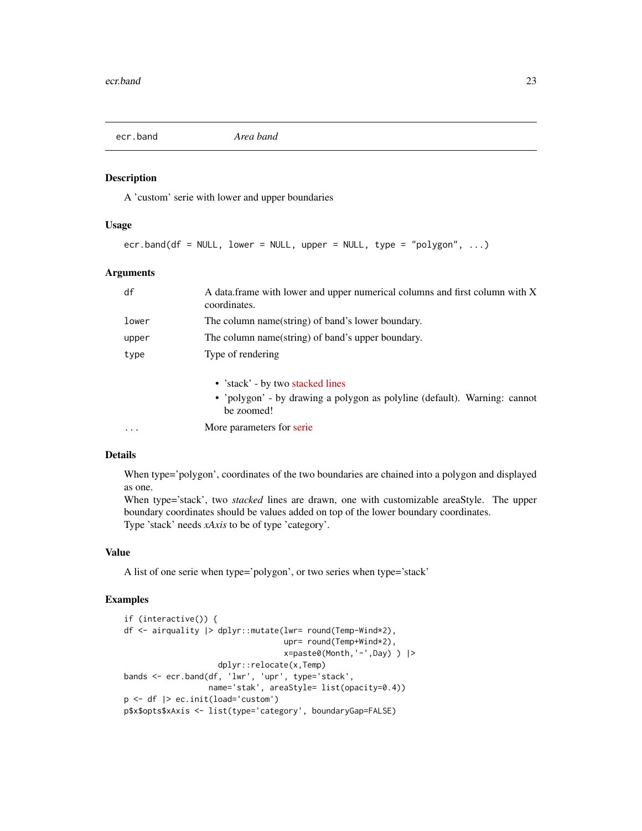<span id="page-22-1"></span><span id="page-22-0"></span>

A 'custom' serie with lower and upper boundaries

# Usage

 $ecr.band(df = NULL, lower = NULL, upper = NULL, type = "polygon", ...)$ 

#### Arguments

| df        | A data.frame with lower and upper numerical columns and first column with X<br>coordinates.                                 |  |
|-----------|-----------------------------------------------------------------------------------------------------------------------------|--|
| lower     | The column name(string) of band's lower boundary.                                                                           |  |
| upper     | The column name(string) of band's upper boundary.                                                                           |  |
| type      | Type of rendering                                                                                                           |  |
|           | • 'stack' - by two stacked lines<br>• 'polygon' - by drawing a polygon as polyline (default). Warning: cannot<br>be zoomed! |  |
| $\ddotsc$ | More parameters for serie.                                                                                                  |  |

#### Details

When type='polygon', coordinates of the two boundaries are chained into a polygon and displayed as one.

When type='stack', two *stacked* lines are drawn, one with customizable areaStyle. The upper boundary coordinates should be values added on top of the lower boundary coordinates. Type 'stack' needs *xAxis* to be of type 'category'.

# Value

A list of one serie when type='polygon', or two series when type='stack'

```
if (interactive()) {
df <- airquality |> dplyr::mutate(lwr= round(Temp-Wind*2),
                                  upr= round(Temp+Wind*2),
                                  x=paste0(Month,'-',Day) ) |>
                    dplyr::relocate(x,Temp)
bands <- ecr.band(df, 'lwr', 'upr', type='stack',
                  name='stak', areaStyle= list(opacity=0.4))
p <- df |> ec.init(load='custom')
p$x$opts$xAxis <- list(type='category', boundaryGap=FALSE)
```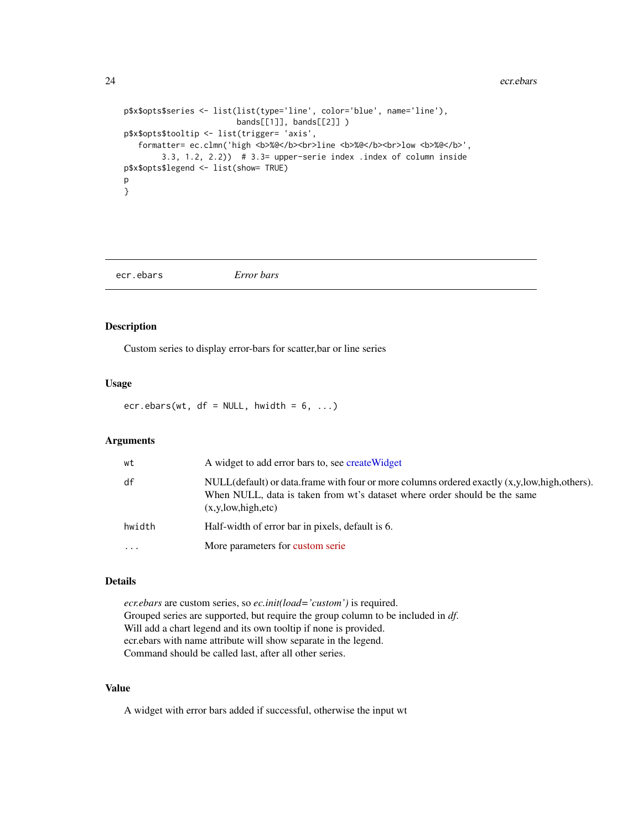```
p$x$opts$series <- list(list(type='line', color='blue', name='line'),
                        bands[[1]], bands[[2]] )
p$x$opts$tooltip <- list(trigger= 'axis',
   formatter= ec.clmn('high <b>%@</b><br>line <b>%@</b><br>low <b>%@</b>',
        3.3, 1.2, 2.2)) # 3.3= upper-serie index .index of column inside
p$x$opts$legend <- list(show= TRUE)
p
}
```
<span id="page-23-1"></span>ecr.ebars *Error bars*

#### Description

Custom series to display error-bars for scatter,bar or line series

# Usage

ecr.ebars(wt,  $df = NULL$ , hwidth = 6, ...)

#### Arguments

| wt        | A widget to add error bars to, see create Widget                                                                                                                                                         |
|-----------|----------------------------------------------------------------------------------------------------------------------------------------------------------------------------------------------------------|
| df        | $NULL(default)$ or data.frame with four or more columns ordered exactly $(x, y, low, high, others)$ .<br>When NULL, data is taken from wt's dataset where order should be the same<br>(x,y,low,high,etc) |
| hwidth    | Half-width of error bar in pixels, default is 6.                                                                                                                                                         |
| $\ddotsc$ | More parameters for custom serie                                                                                                                                                                         |

#### Details

*ecr.ebars* are custom series, so *ec.init(load='custom')* is required. Grouped series are supported, but require the group column to be included in *df*. Will add a chart legend and its own tooltip if none is provided. ecr.ebars with name attribute will show separate in the legend. Command should be called last, after all other series.

# Value

A widget with error bars added if successful, otherwise the input wt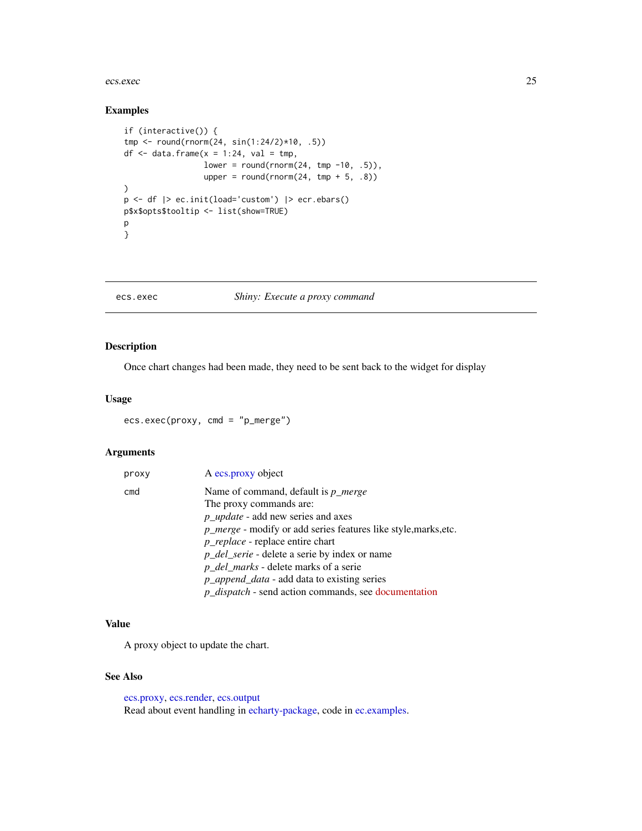#### <span id="page-24-0"></span>ecs.exec 25

# Examples

```
if (interactive()) {
tmp <- round(rnorm(24, sin(1:24/2)*10, .5))
df \le data.frame(x = 1:24, val = tmp,
                 lower = round(rnorm(24, tmp -10, .5)),upper = round(rnorm(24, tmp + 5, .8)))
p <- df |> ec.init(load='custom') |> ecr.ebars()
p$x$opts$tooltip <- list(show=TRUE)
p
}
```
#### <span id="page-24-1"></span>ecs.exec *Shiny: Execute a proxy command*

# Description

Once chart changes had been made, they need to be sent back to the widget for display

# Usage

ecs.exec(proxy, cmd = "p\_merge")

# Arguments

| proxy | A ecs.proxy object                                                     |
|-------|------------------------------------------------------------------------|
| cmd   | Name of command, default is $p\_merge$                                 |
|       | The proxy commands are:                                                |
|       | $p\_update$ - add new series and axes                                  |
|       | <i>p_merge</i> - modify or add series features like style, marks, etc. |
|       | <i>p_replace</i> - replace entire chart                                |
|       | <i>p_del_serie</i> - delete a serie by index or name                   |
|       | <i>p_del_marks</i> - delete marks of a serie                           |
|       | $p\_append\_data$ - add data to existing series                        |
|       | <i>p_dispatch</i> - send action commands, see documentation            |

# Value

A proxy object to update the chart.

# See Also

[ecs.proxy,](#page-25-1) [ecs.render,](#page-26-1) [ecs.output](#page-25-2) Read about event handling in [echarty-package,](#page-0-0) code in [ec.examples.](#page-4-1)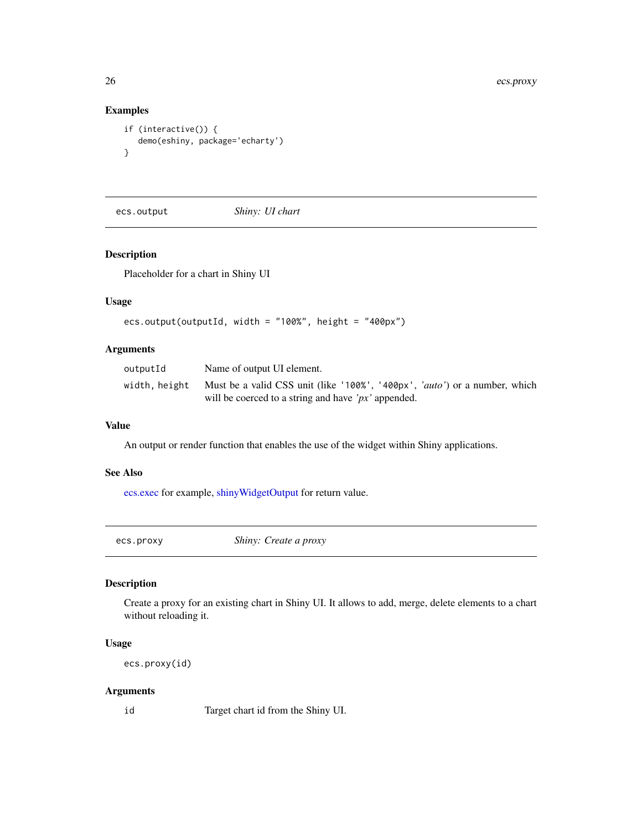# Examples

```
if (interactive()) {
  demo(eshiny, package='echarty')
}
```
<span id="page-25-2"></span>ecs.output *Shiny: UI chart*

# Description

Placeholder for a chart in Shiny UI

#### Usage

```
ecs.output(outputId, width = "100%", height = "400px")
```
# Arguments

| outputId      | Name of output UI element.                                                                                                                     |
|---------------|------------------------------------------------------------------------------------------------------------------------------------------------|
| width, height | Must be a valid CSS unit (like '100%', '400px', ' <i>auto'</i> ) or a number, which<br>will be coerced to a string and have ' $px$ ' appended. |
|               |                                                                                                                                                |

#### Value

An output or render function that enables the use of the widget within Shiny applications.

## See Also

[ecs.exec](#page-24-1) for example, [shinyWidgetOutput](#page-0-0) for return value.

<span id="page-25-1"></span>ecs.proxy *Shiny: Create a proxy*

# Description

Create a proxy for an existing chart in Shiny UI. It allows to add, merge, delete elements to a chart without reloading it.

#### Usage

ecs.proxy(id)

#### Arguments

id Target chart id from the Shiny UI.

<span id="page-25-0"></span>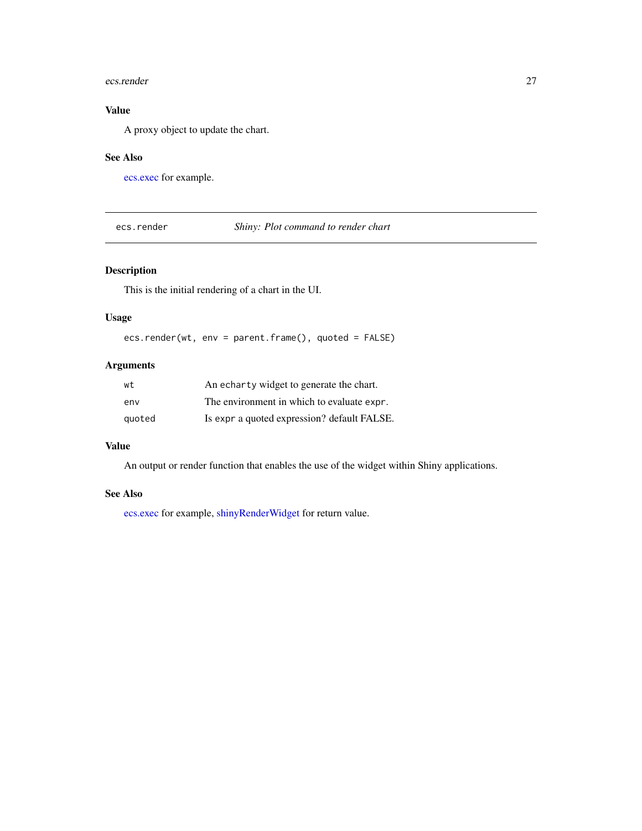#### <span id="page-26-0"></span>ecs.render 27

# Value

A proxy object to update the chart.

#### See Also

[ecs.exec](#page-24-1) for example.

<span id="page-26-1"></span>ecs.render *Shiny: Plot command to render chart*

# Description

This is the initial rendering of a chart in the UI.

# Usage

ecs.render(wt, env = parent.frame(), quoted = FALSE)

# Arguments

| wt     | An echarty widget to generate the chart.    |
|--------|---------------------------------------------|
| env    | The environment in which to evaluate expr.  |
| quoted | Is expr a quoted expression? default FALSE. |

## Value

An output or render function that enables the use of the widget within Shiny applications.

#### See Also

[ecs.exec](#page-24-1) for example, [shinyRenderWidget](#page-0-0) for return value.